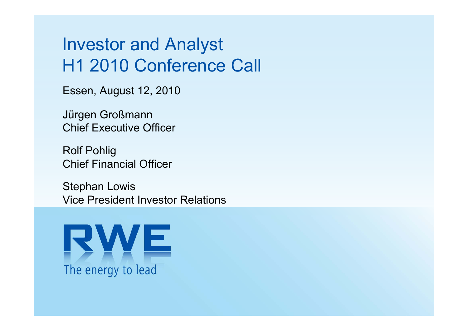# Investor and Analyst H1 2010 Conference Call

Essen, August 12, 2010

Jürgen Großmann Chief Executive Officer

Rolf Pohlig Chief Financial Officer

Stephan Lowis Vice President Investor Relations

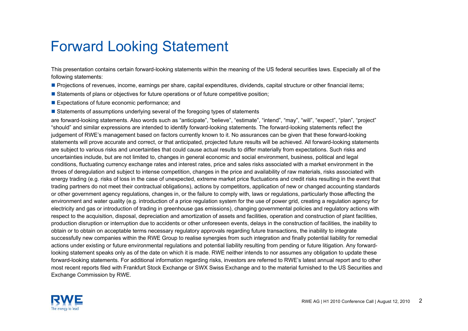### Forward Looking Statement

This presentation contains certain forward-looking statements within the meaning of the US federal securities laws. Especially all of the following statements:

Projections of revenues, income, earnings per share, capital expenditures, dividends, capital structure or other financial items;

- **Statements of plans or objectives for future operations or of future competitive position**;
- **Expectations of future economic performance; and**
- **Statements of assumptions underlying several of the foregoing types of statements**

are forward-looking statements. Also words such as "anticipate", "believe", "estimate", "intend", "may", "will", "expect", "plan", "project" "should" and similar expressions are intended to identify forward-looking statements. The forward-looking statements reflect the judgement of RWE's management based on factors currently known to it. No assurances can be given that these forward-looking statements will prove accurate and correct, or that anticipated, projected future results will be achieved. All forward-looking statements are subject to various risks and uncertainties that could cause actual results to differ materially from expectations. Such risks and uncertainties include, but are not limited to, changes in general economic and social environment, business, political and legal conditions, fluctuating currency exchange rates and interest rates, price and sales risks associated with a market environment in the throes of deregulation and subject to intense competition, changes in the price and availability of raw materials, risks associated with energy trading (e.g. risks of loss in the case of unexpected, extreme market price fluctuations and credit risks resulting in the event that trading partners do not meet their contractual obligations), actions by competitors, application of new or changed accounting standards or other government agency regulations, changes in, or the failure to comply with, laws or regulations, particularly those affecting the environment and water quality (e.g. introduction of a price regulation system for the use of power grid, creating a regulation agency for electricity and gas or introduction of trading in greenhouse gas emissions), changing governmental policies and regulatory actions with respect to the acquisition, disposal, depreciation and amortization of assets and facilities, operation and construction of plant facilities, production disruption or interruption due to accidents or other unforeseen events, delays in the construction of facilities, the inability to obtain or to obtain on acceptable terms necessary regulatory approvals regarding future transactions, the inability to integrat esuccessfully new companies within the RWE Group to realise synergies from such integration and finally potential liability for remedial actions under existing or future environmental regulations and potential liability resulting from pending or future litigation. Any forwardlooking statement speaks only as of the date on which it is made. RWE neither intends to nor assumes any obligation to update these forward-looking statements. For additional information regarding risks, investors are referred to RWE's latest annual report and to other most recent reports filed with Frankfurt Stock Exchange or SWX Swiss Exchange and to the material furnished to the US Securities and Exchange Commission by RWE.

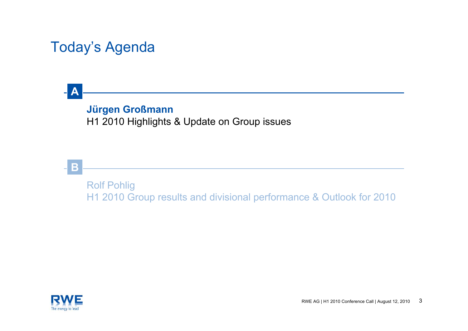### Today's Agenda

#### **Jürgen Großmann**

H1 2010 Highlights & Update on Group issues



**A**

Rolf Pohlig H1 2010 Group results and divisional performance & Outlook for 2010

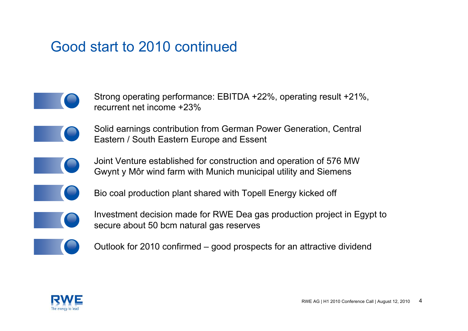### Good start to 2010 continued

- Strong operating performance: EBITDA +22%, operating result +21%, recurrent net income +23%
	- Solid earnings contribution from German Power Generation, Central Eastern / South Eastern Europe and Essent
- 
- Joint Venture established for construction and operation of 576 MW Gwynt y Môr wind farm with Munich municipal utility and Siemens



Bio coal production plant shared with Topell Energy kicked off



Investment decision made for RWE Dea gas production project in Egypt to secure about 50 bcm natural gas reserves



Outlook for 2010 confirmed – good prospects for an attractive dividend

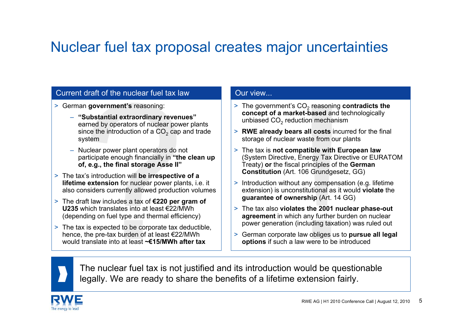### Nuclear fuel tax proposal creates major uncertainties

#### Current draft of the nuclear fuel tax law

- > German **government's** reasoning:
	- **"Substantial extraordinary revenues"** earned by operators of nuclear power plants since the introduction of a CO $_2$  cap and trade system
	- Nuclear power plant operators do not participate enough financially in **"the clean up of, e.g., the final storage Asse II"**
- > The tax's introduction will **be irrespective of a lifetime extension** for nuclear power plants, i.e. it also considers currently allowed production volumes
- > The draft law includes a tax of **€220 per gram of U235** which translates into at least €22/MWh (depending on fuel type and thermal efficiency)
- > The tax is expected to be corporate tax deductible, hence, the pre-tax burden of at least €22/MWh would translate into at least **~€15/MWh after tax**

#### Our view...

- $>$  The government's CO<sub>2</sub> reasoning **contradicts the concept of a market-based** and technologically unbiased CO $_{\rm 2}$  reduction mechanism
- > **RWE already bears all costs** incurred for the final storage of nuclear waste from our plants
- > The tax is **not compatible with European law** (System Directive, Energy Tax Directive or EURATOM Treaty) **or** the fiscal principles of the **German Constitution** (Art. 106 Grundgesetz, GG)
- > Introduction without any compensation (e.g. lifetime extension) is unconstitutional as it would **violate** the **guarantee of ownership** (Art. 14 GG)
- > The tax also **violates the 2001 nuclear phase-out agreement** in which any further burden on nuclear power generation (including taxation) was ruled out
- > German corporate law obliges us to **pursue all legal options** if such a law were to be introduced



The nuclear fuel tax is not justified and its introduction would be questionable legally. We are ready to share the benefits of a lifetime extension fairly.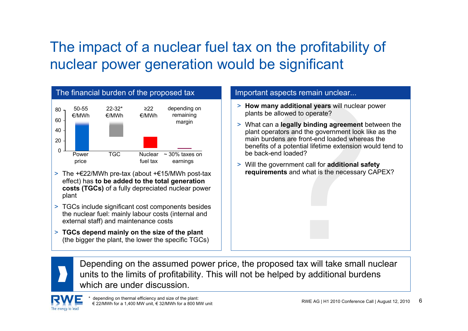# The impact of a nuclear fuel tax on the profitability of nuclear power generation would be significant



- > The +€22/MWh pre-tax (about +€15/MWh post-tax effect) has **to be added to the total generation costs (TGCs)** of a fully depreciated nuclear power plant
- > TGCs include significant cost components besides the nuclear fuel: mainly labour costs (internal and external staff) and maintenance costs
- > **TGCs depend mainly on the size of the plant** (the bigger the plant, the lower the specific TGCs)

- > **How many additional years** will nuclear power plants be allowed to operate?
- > What can a **legally binding agreement** between the plant operators and the government look like as the main burdens are front-end loaded whereas the benefits of a potential lifetime extension would tend to be back-end loaded?
- > Will the government call for **additional safety requirements** and what is the necessary CAPEX?



Depending on the assumed power price, the proposed tax will take small nuclear units to the limits of profitability. This will not be helped by additional burdens which are under discussion

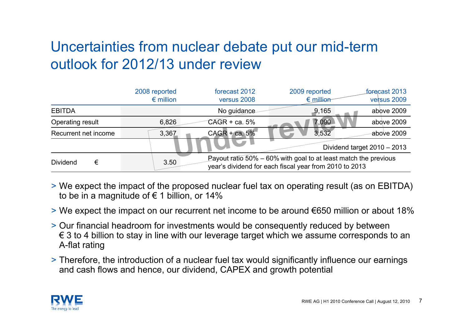### Uncertainties from nuclear debate put our mid-term outlook for 2012/13 under review

|                               | 2008 reported<br>$\epsilon$ million | forecast 2012<br>versus 2008                                                                                              | 2009 reported<br>$\epsilon$ million | forecast 2013<br>versus 2009 |  |  |
|-------------------------------|-------------------------------------|---------------------------------------------------------------------------------------------------------------------------|-------------------------------------|------------------------------|--|--|
| <b>EBITDA</b>                 |                                     | No guidance                                                                                                               | 9,165                               | above 2009                   |  |  |
| Operating result              | 6,826                               | $CAGR + ca. 5%$                                                                                                           | 7,090                               | above 2009                   |  |  |
| Recurrent net income          | 3,367                               | $CAGR + ca. 5%$                                                                                                           | 3,532                               | above 2009                   |  |  |
| Dividend target $2010 - 2013$ |                                     |                                                                                                                           |                                     |                              |  |  |
| <b>Dividend</b><br>€          | 3.50                                | Payout ratio 50% – 60% with goal to at least match the previous<br>year's dividend for each fiscal year from 2010 to 2013 |                                     |                              |  |  |

- > We expect the impact of the proposed nuclear fuel tax on operating result (as on EBITDA) to be in a magnitude of  $\epsilon$  1 billion, or 14%
- > We expect the impact on our recurrent net income to be around €650 million or about 18%
- > Our financial headroom for investments would be consequently reduced by between € 3 to 4 billion to stay in line with our leverage target which we assume corresponds to an A-flat rating
- > Therefore, the introduction of a nuclear fuel tax would significantly influence our earnings and cash flows and hence, our dividend, CAPEX and growth potential

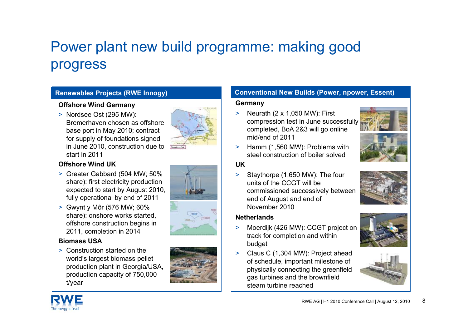## Power plant new build programme: making good progress

#### **Renewables Projects (RWE Innogy)**

#### **Offshore Wind Germany**

> Nordsee Ost (295 MW): Bremerhaven chosen as offshore base port in May 2010; contract for supply of foundations signed in June 2010, construction due to start in 2011

#### **Offshore Wind UK**

- > Greater Gabbard (504 MW; 50% share): first electricity production expected to start by August 2010, fully operational by end of 2011
- > Gwynt y Môr (576 MW; 60% share): onshore works started, offshore construction begins in 2011, completion in 2014

#### **Biomass USA**

> Construction started on the world's largest biomass pellet production plant in Georgia/USA, production capacity of 750,000 t/year





#### **Conventional New Builds (Power, npower, Essent)**

#### **Germany**

- > Neurath (2 x 1,050 MW): First compression test in June successfully completed, BoA 2&3 will go online mid/end of 2011
- > Hamm (1,560 MW): Problems with steel construction of boiler solved

#### **UK**

> Staythorpe (1,650 MW): The four units of the CCGT will be commissioned successively between end of August and end of November 2010

#### **Netherlands**

- > Moerdijk (426 MW): CCGT project on track for completion and within budget
- $\geq$  Claus C (1,304 MW): Project ahead of schedule, important milestone of physically connecting the greenfield gas turbines and the brownfield steam turbine reached











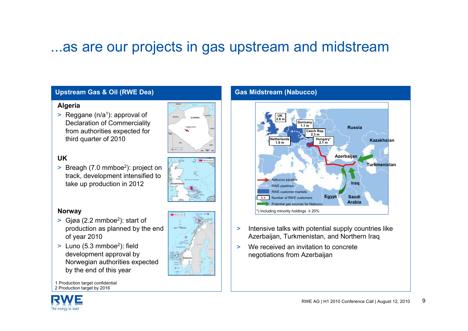### ...as are our projects in gas upstream and midstream

**ARM** 

#### **Upstream Gas & Oil (RWE Dea)**

#### **Algeria**

> Reggane (n/a<sup>1</sup>): approval of Declaration of Commerciality from authorities expected for third quarter of 2010

#### **UK**

 $>$  Breagh (7.0 mmboe<sup>2</sup>): project on track, development intensified to take up production in 2012

#### **Norway**

- $>$  Gjøa (2.2 mmboe<sup>2</sup>): start of production as planned by the end of year 2010
- $>$  Luno (5.3 mmboe<sup>2</sup>): field development approval by Norwegian authorities expected by the end of this year

1 Production target confidential 2 Production target by 2016





- $\geq$  Intensive talks with potential supply countries like Azerbaijan, Turkmenistan, and Northern Iraq
- $\geq$ We received an invitation to concrete negotiations from Azerbaijan

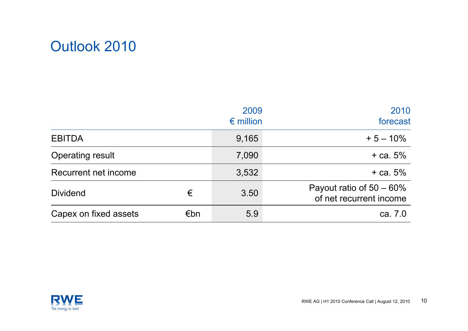

|                         |     | 2009<br>$\epsilon$ million | 2010<br>forecast                                       |
|-------------------------|-----|----------------------------|--------------------------------------------------------|
| <b>EBITDA</b>           |     | 9,165                      | $+5 - 10\%$                                            |
| <b>Operating result</b> |     | 7,090                      | $+$ ca. 5%                                             |
| Recurrent net income    |     | 3,532                      | $+$ ca. 5%                                             |
| <b>Dividend</b>         | €   | 3.50                       | Payout ratio of $50 - 60\%$<br>of net recurrent income |
| Capex on fixed assets   | €bn | 5.9                        | ca. 7.0                                                |

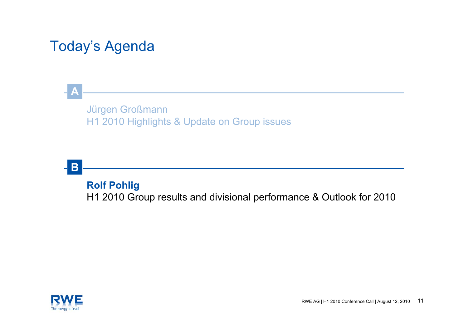### Today's Agenda

#### Jürgen Großmann H1 2010 Highlights & Update on Group issues



**A**

**Rolf Pohlig** H1 2010 Group results and divisional performance & Outlook for 2010

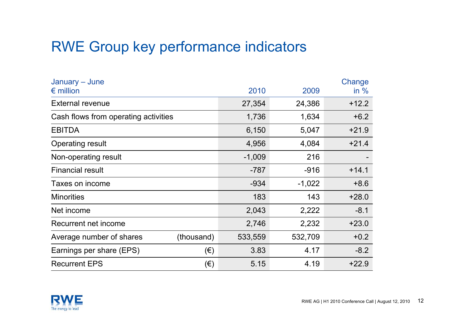### RWE Group key performance indicators

| January – June<br>$\epsilon$ million   |         | 2010     | 2009     | Change<br>in $%$ |
|----------------------------------------|---------|----------|----------|------------------|
| <b>External revenue</b>                |         | 27,354   | 24,386   | $+12.2$          |
| Cash flows from operating activities   | 1,736   | 1,634    | $+6.2$   |                  |
| <b>EBITDA</b>                          |         | 6,150    | 5,047    | $+21.9$          |
| Operating result                       |         | 4,956    | 4,084    | $+21.4$          |
| Non-operating result                   |         | $-1,009$ | 216      |                  |
| <b>Financial result</b>                |         | $-787$   | $-916$   | $+14.1$          |
| Taxes on income                        |         | $-934$   | $-1,022$ | $+8.6$           |
| <b>Minorities</b>                      |         | 183      | 143      | $+28.0$          |
| Net income                             |         | 2,043    | 2,222    | $-8.1$           |
| Recurrent net income                   |         | 2,746    | 2,232    | $+23.0$          |
| (thousand)<br>Average number of shares |         | 533,559  | 532,709  | $+0.2$           |
| Earnings per share (EPS)               | $(\in)$ | 3.83     | 4.17     | $-8.2$           |
| <b>Recurrent EPS</b>                   | $(\in)$ | 5.15     | 4.19     | $+22.9$          |

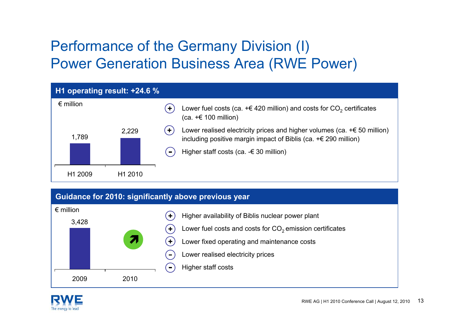### Performance of the Germany Division (I) Power Generation Business Area (RWE Power)



#### **Guidance for 2010: significantly above previous year**



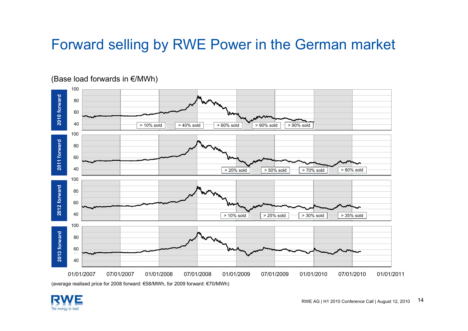### Forward selling by RWE Power in the German market



(Base load forwards in €/MWh)

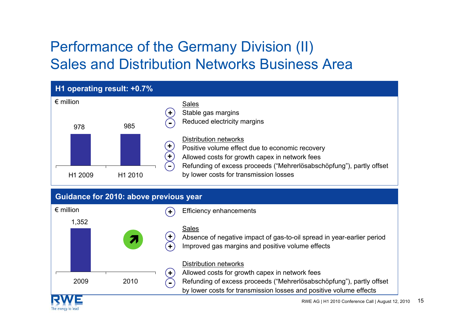### Performance of the Germany Division (II) Sales and Distribution Networks Business Area





by lower costs for transmission losses and positive volume effects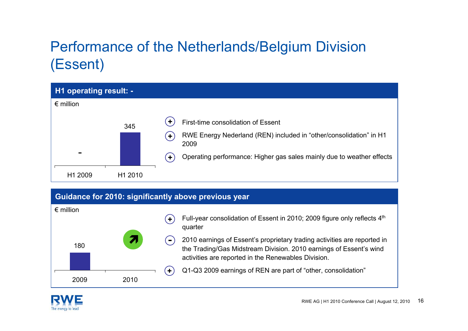# Performance of the Netherlands/Belgium Division (Essent)

| <b>H1 operating result: -</b> |         |                                                                                                                                           |
|-------------------------------|---------|-------------------------------------------------------------------------------------------------------------------------------------------|
| $\epsilon$ million            |         |                                                                                                                                           |
|                               | 345     | $\ddot{\phantom{1}}$<br>First-time consolidation of Essent<br>RWE Energy Nederland (REN) included in "other/consolidation" in H1<br>$\pm$ |
|                               |         | 2009                                                                                                                                      |
|                               |         | Operating performance: Higher gas sales mainly due to weather effects<br>Ð                                                                |
| H1 2009                       | H1 2010 |                                                                                                                                           |

#### **Guidance for 2010: significantly above previous year**

| $\epsilon$ million |      |      |                | Full-year consolidation of Essent in 2010; 2009 figure only reflects 4th<br>quarter                                                                                                                   |
|--------------------|------|------|----------------|-------------------------------------------------------------------------------------------------------------------------------------------------------------------------------------------------------|
|                    | 180  |      | $\blacksquare$ | 2010 earnings of Essent's proprietary trading activities are reported in<br>the Trading/Gas Midstream Division. 2010 earnings of Essent's wind<br>activities are reported in the Renewables Division. |
|                    |      |      | $\ddot{}$      | Q1-Q3 2009 earnings of REN are part of "other, consolidation"                                                                                                                                         |
|                    | 2009 | 2010 |                |                                                                                                                                                                                                       |

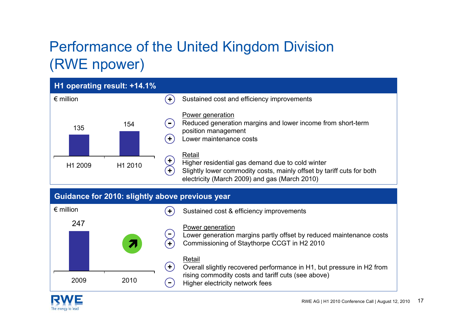### Performance of the United Kingdom Division (RWE npower)



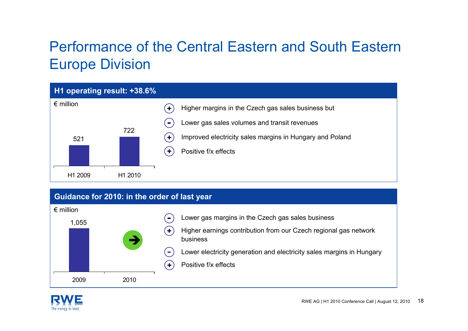### Performance of the Central Eastern and South Eastern Europe Division



#### **Guidance for 2010: in the order of last year**



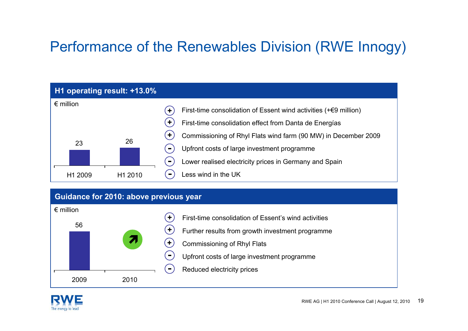## Performance of the Renewables Division (RWE Innogy)



#### **Guidance for 2010: above previous year**



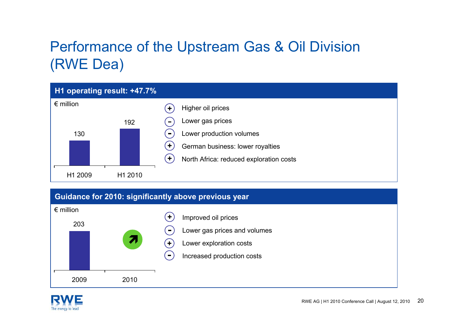### Performance of the Upstream Gas & Oil Division (RWE Dea)



#### **Guidance for 2010: significantly above previous year**



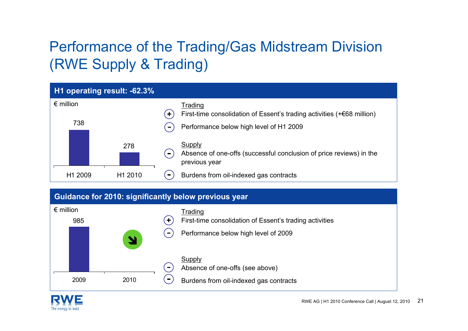# Performance of the Trading/Gas Midstream Division (RWE Supply & Trading)

|                    | H1 operating result: -62.3% |                      |                                                                                                       |
|--------------------|-----------------------------|----------------------|-------------------------------------------------------------------------------------------------------|
| $\epsilon$ million |                             | $\ddot{\phantom{1}}$ | Trading<br>First-time consolidation of Essent's trading activities $(+68$ million)                    |
| 738                |                             | $\blacksquare$       | Performance below high level of H1 2009                                                               |
|                    | 278                         | $\sim$               | <b>Supply</b><br>Absence of one-offs (successful conclusion of price reviews) in the<br>previous year |
| H1 2009            | H <sub>1</sub> 2010         | $\blacksquare$       | Burdens from oil-indexed gas contracts                                                                |

#### **Guidance for 2010: significantly below previous year**



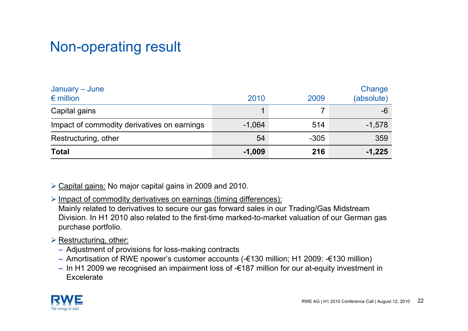### Non-operating result

| January – June<br>$\epsilon$ million        | 2010     | 2009   | Change<br>(absolute) |
|---------------------------------------------|----------|--------|----------------------|
| Capital gains                               |          |        | -6                   |
| Impact of commodity derivatives on earnings | $-1,064$ | 514    | $-1,578$             |
| Restructuring, other                        | 54       | $-305$ | 359                  |
| <b>Total</b>                                | $-1,009$ | 216    | $-1,225$             |

¾ Capital gains: No major capital gains in 2009 and 2010.

¾ Impact of commodity derivatives on earnings (timing differences):

Mainly related to derivatives to secure our gas forward sales in our Trading/Gas Midstream Division. In H1 2010 also related to the first-time marked-to-market valuation of our German gas purchase portfolio.

#### **► Restructuring, other:**

- Adjustment of provisions for loss-making contracts
- Amortisation of RWE npower's customer accounts (-€130 million; H1 2009: -€130 million)
- In H1 2009 we recognised an impairment loss of -€187 million for our at-equity investment in Excelerate

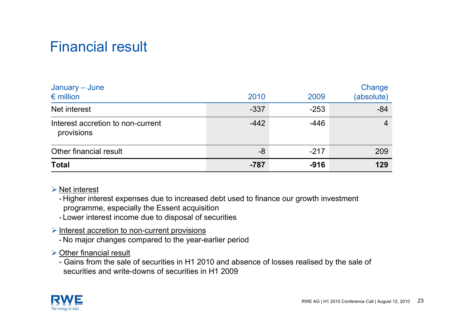### Financial result

| January – June<br>$\epsilon$ million            | 2010   | 2009   | Change<br>(absolute) |
|-------------------------------------------------|--------|--------|----------------------|
| Net interest                                    | $-337$ | $-253$ | $-84$                |
| Interest accretion to non-current<br>provisions | $-442$ | $-446$ |                      |
| Other financial result                          | -8     | $-217$ | 209                  |
| <b>Total</b>                                    | $-787$ | $-916$ | 129                  |

#### $\triangleright$  Net interest

- Higher interest expenses due to increased debt used to finance our growth investment programme, especially the Essent acquisition

- Lower interest income due to disposal of securities

#### ¾ Interest accretion to non-current provisions

- No major changes compared to the year-earlier period

#### $\triangleright$  Other financial result

- Gains from the sale of securities in H1 2010 and absence of losses realised by the sale of securities and write-downs of securities in H1 2009

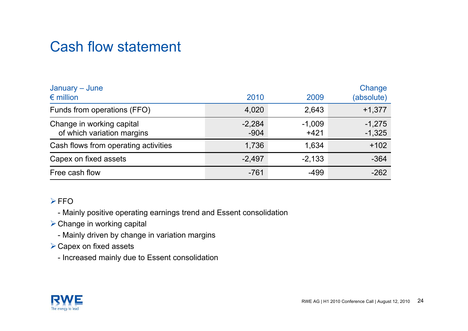### Cash flow statement

| January – June<br>$\epsilon$ million                    | 2010               | 2009               | Change<br>(absolute) |
|---------------------------------------------------------|--------------------|--------------------|----------------------|
| Funds from operations (FFO)                             | 4,020              | 2,643              | $+1,377$             |
| Change in working capital<br>of which variation margins | $-2,284$<br>$-904$ | $-1,009$<br>$+421$ | $-1,275$<br>$-1,325$ |
| Cash flows from operating activities                    | 1,736              | 1,634              | $+102$               |
| Capex on fixed assets                                   | $-2,497$           | $-2,133$           | $-364$               |
| Free cash flow                                          | $-761$             | $-499$             | $-262$               |

#### $\triangleright$ FFO

- Mainly positive operating earnings trend and Essent consolidation

- $\triangleright$  Change in working capital
	- Mainly driven by change in variation margins
- $\triangleright$  Capex on fixed assets
	- Increased mainly due to Essent consolidation

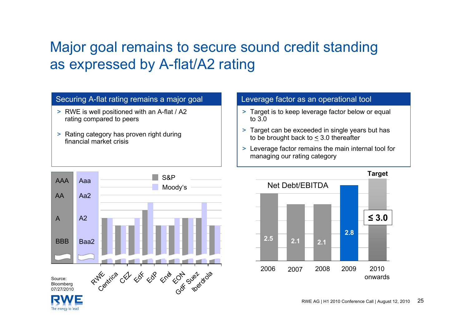### Major goal remains to secure sound credit standing as expressed by A-flat/A2 rating

#### Securing A-flat rating remains a major goal Leverage factor as an operational tool

- > RWE is well positioned with an A-flat / A2 rating compared to peers
- > Rating category has proven right during financial market crisis

- > Target is to keep leverage factor below or equal to 3.0
- > Target can be exceeded in single years but has to be brought back to < 3.0 thereafter
- > Leverage factor remains the main internal tool for managing our rating category



The energy to lead

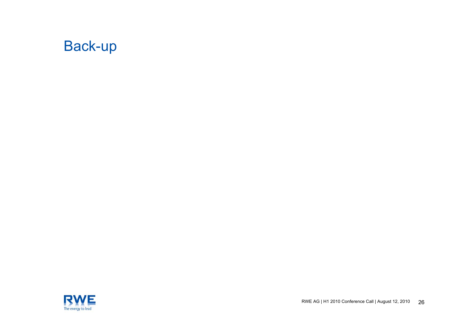

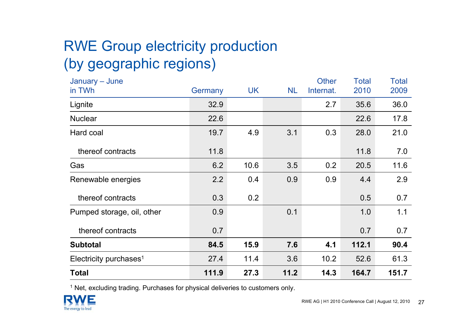# RWE Group electricity production (by geographic regions)

| January - June                     |         |           |           | <b>Other</b> | <b>Total</b> | <b>Total</b> |
|------------------------------------|---------|-----------|-----------|--------------|--------------|--------------|
| in TWh                             | Germany | <b>UK</b> | <b>NL</b> | Internat.    | 2010         | 2009         |
| Lignite                            | 32.9    |           |           | 2.7          | 35.6         | 36.0         |
| <b>Nuclear</b>                     | 22.6    |           |           |              | 22.6         | 17.8         |
| Hard coal                          | 19.7    | 4.9       | 3.1       | 0.3          | 28.0         | 21.0         |
| thereof contracts                  | 11.8    |           |           |              | 11.8         | 7.0          |
| Gas                                | 6.2     | 10.6      | 3.5       | 0.2          | 20.5         | 11.6         |
| Renewable energies                 | 2.2     | 0.4       | 0.9       | 0.9          | 4.4          | 2.9          |
| thereof contracts                  | 0.3     | 0.2       |           |              | 0.5          | 0.7          |
| Pumped storage, oil, other         | 0.9     |           | 0.1       |              | 1.0          | 1.1          |
| thereof contracts                  | 0.7     |           |           |              | 0.7          | 0.7          |
| <b>Subtotal</b>                    | 84.5    | 15.9      | 7.6       | 4.1          | 112.1        | 90.4         |
| Electricity purchases <sup>1</sup> | 27.4    | 11.4      | 3.6       | 10.2         | 52.6         | 61.3         |
| <b>Total</b>                       | 111.9   | 27.3      | 11.2      | 14.3         | 164.7        | 151.7        |

 $1$  Net, excluding trading. Purchases for physical deliveries to customers only.

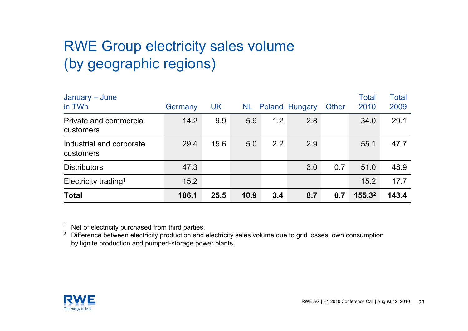### RWE Group electricity sales volume (by geographic regions)

| January – June<br>in TWh              | Germany | <b>UK</b> |      |     | <b>NL Poland Hungary</b> | <b>Other</b> | <b>Total</b><br>2010 | <b>Total</b><br>2009 |
|---------------------------------------|---------|-----------|------|-----|--------------------------|--------------|----------------------|----------------------|
| Private and commercial<br>customers   | 14.2    | 9.9       | 5.9  | 1.2 | 2.8                      |              | 34.0                 | 29.1                 |
| Industrial and corporate<br>customers | 29.4    | 15.6      | 5.0  | 2.2 | 2.9                      |              | 55.1                 | 47.7                 |
| <b>Distributors</b>                   | 47.3    |           |      |     | 3.0                      | 0.7          | 51.0                 | 48.9                 |
| Electricity trading <sup>1</sup>      | 15.2    |           |      |     |                          |              | 15.2                 | 17.7                 |
| <b>Total</b>                          | 106.1   | 25.5      | 10.9 | 3.4 | 8.7                      | 0.7          | 155.3 <sup>2</sup>   | 143.4                |

<sup>1</sup> Net of electricity purchased from third parties.

<sup>2</sup> Difference between electricity production and electricity sales volume due to grid losses, own consumption by lignite production and pumped-storage power plants.

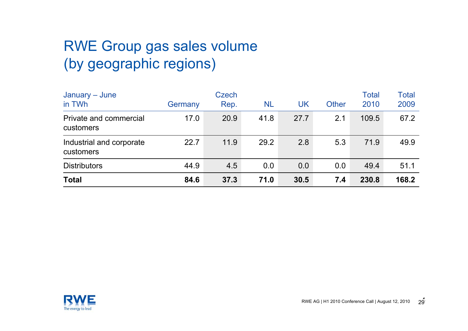### RWE Group gas sales volume (by geographic regions)

| January – June                        |         | <b>Czech</b> |      |      |              | <b>Total</b> | Total |
|---------------------------------------|---------|--------------|------|------|--------------|--------------|-------|
| in TWh                                | Germany | Rep.         | NL   | UK   | <b>Other</b> | 2010         | 2009  |
| Private and commercial<br>customers   | 17.0    | 20.9         | 41.8 | 27.7 | 2.1          | 109.5        | 67.2  |
| Industrial and corporate<br>customers | 22.7    | 11.9         | 29.2 | 2.8  | 5.3          | 71.9         | 49.9  |
| <b>Distributors</b>                   | 44.9    | 4.5          | 0.0  | 0.0  | 0.0          | 49.4         | 51.1  |
| <b>Total</b>                          | 84.6    | 37.3         | 71.0 | 30.5 | 7.4          | 230.8        | 168.2 |

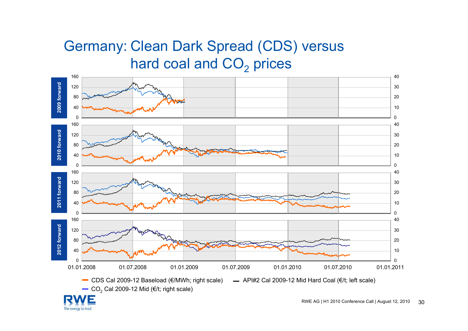### Germany: Clean Dark Spread (CDS) versus hard coal and  $\mathsf{CO}_2$  prices



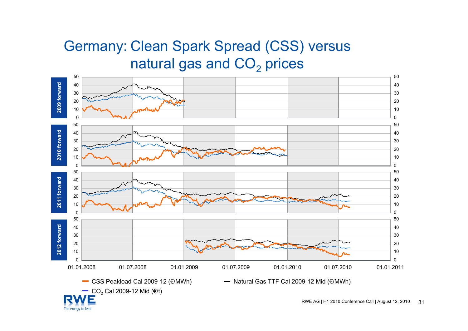### Germany: Clean Spark Spread (CSS) versus natural gas and CO $_{\rm 2}$  prices



The energy to lead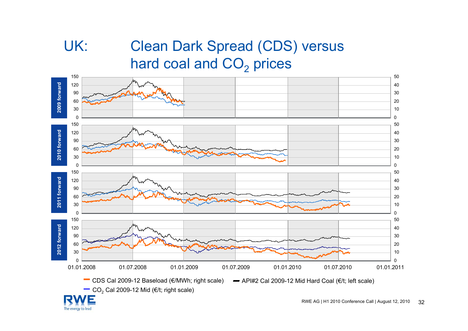### UK: Clean Dark Spread (CDS) versus hard coal and  $\mathsf{CO}_2$  prices



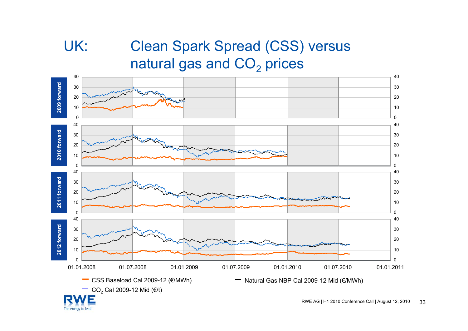The energy to lead

## UK: Clean Spark Spread (CSS) versus natural gas and CO $_{\rm 2}$  prices

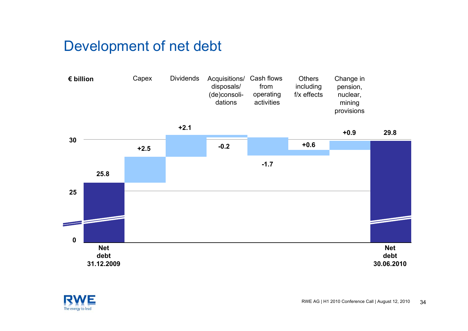### Development of net debt



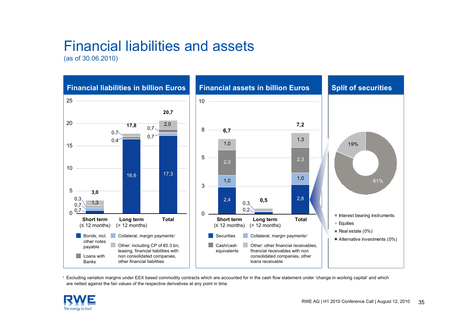### Financial liabilities and assets

(as of 30.06.2010)



1 Excluding variation margins under EEX based commodity contracts which are accounted for in the cash flow statement under 'change in working capital' and which are netted against the fair values of the respective derivatives at any point in time.

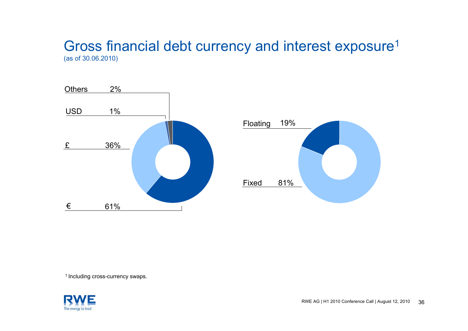#### Gross financial debt currency and interest exposure<sup>1</sup> (as of 30.06.2010)





<sup>1</sup> Including cross-currency swaps.